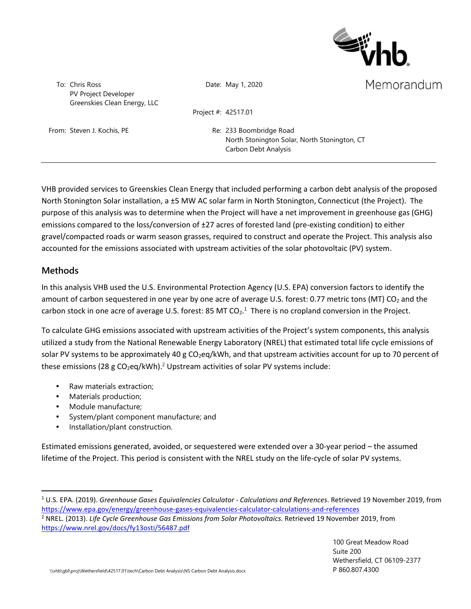

To: Chris Ross PV Project Developer Greenskies Clean Energy, LLC Date: May 1, 2020

Memorandum

Project #: 42517.01

From: Steven J. Kochis, PE Re: 233 Boombridge Road

North Stonington Solar, North Stonington, CT Carbon Debt Analysis

VHB provided services to Greenskies Clean Energy that included performing a carbon debt analysis of the proposed North Stonington Solar installation, a ±5 MW AC solar farm in North Stonington, Connecticut (the Project). The purpose of this analysis was to determine when the Project will have a net improvement in greenhouse gas (GHG) emissions compared to the loss/conversion of ±27 acres of forested land (pre-existing condition) to either gravel/compacted roads or warm season grasses, required to construct and operate the Project. This analysis also accounted for the emissions associated with upstream activities of the solar photovoltaic (PV) system.

### **Methods**

In this analysis VHB used the U.S. Environmental Protection Agency (U.S. EPA) conversion factors to identify the amount of carbon sequestered in one year by one acre of average U.S. forest: 0.77 metric tons (MT) CO<sub>2</sub> and the carbon stock in one acre of average U.S. forest: 85 MT  $CO<sub>2</sub>$ .<sup>1</sup> There is no cropland conversion in the Project.

To calculate GHG emissions associated with upstream activities of the Project's system components, this analysis utilized a study from the National Renewable Energy Laboratory (NREL) that estimated total life cycle emissions of solar PV systems to be approximately 40 g CO<sub>2</sub>eq/kWh, and that upstream activities account for up to 70 percent of these emissions (28 g CO<sub>2</sub>eq/kWh).<sup>2</sup> Upstream activities of solar PV systems include:

- Raw materials extraction;
- Materials production;
- Module manufacture;
- System/plant component manufacture; and
- Installation/plant construction.

Estimated emissions generated, avoided, or sequestered were extended over a 30-year period – the assumed lifetime of the Project. This period is consistent with the NREL study on the life-cycle of solar PV systems.

<sup>1</sup> U.S. EPA. (2019). *Greenhouse Gases Equivalencies Calculator - Calculations and References*. Retrieved 19 November 2019, from https://www.epa.gov/energy/greenhouse-gases-equivalencies-calculator-calculations-and-references

<sup>2</sup> NREL. (2013). *Life Cycle Greenhouse Gas Emissions from Solar Photovoltaics.* Retrieved 19 November 2019, from https://www.nrel.gov/docs/fy13osti/56487.pdf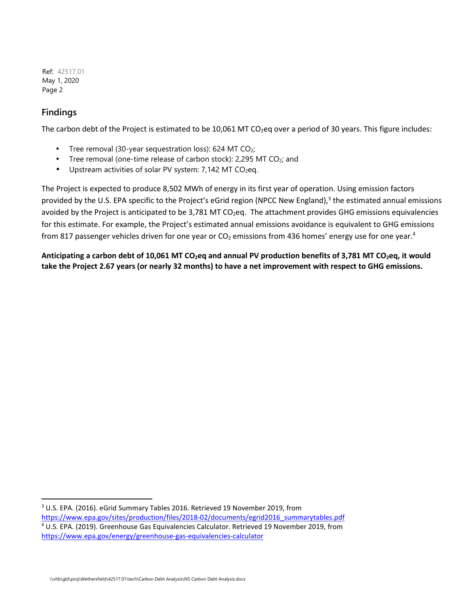Ref: 42517.01 May 1, 2020 Page 2

## **Findings**

The carbon debt of the Project is estimated to be  $10,061$  MT CO<sub>2</sub>eq over a period of 30 years. This figure includes:

- Tree removal (30-year sequestration loss): 624 MT  $CO<sub>2</sub>$ ;
- Tree removal (one-time release of carbon stock): 2,295 MT  $CO<sub>2</sub>$ ; and
- Upstream activities of solar PV system:  $7,142$  MT CO<sub>2</sub>eq.

The Project is expected to produce 8,502 MWh of energy in its first year of operation. Using emission factors provided by the U.S. EPA specific to the Project's eGrid region (NPCC New England),<sup>3</sup> the estimated annual emissions avoided by the Project is anticipated to be 3,781 MT CO<sub>2</sub>eq. The attachment provides GHG emissions equivalencies for this estimate. For example, the Project's estimated annual emissions avoidance is equivalent to GHG emissions from 817 passenger vehicles driven for one year or  $CO<sub>2</sub>$  emissions from 436 homes' energy use for one year.<sup>4</sup>

**Anticipating a carbon debt of 10,061 MT CO2eq and annual PV production benefits of 3,781 MT CO2eq, it would take the Project 2.67 years (or nearly 32 months) to have a net improvement with respect to GHG emissions.** 

<sup>&</sup>lt;sup>3</sup> U.S. EPA. (2016). eGrid Summary Tables 2016. Retrieved 19 November 2019, from https://www.epa.gov/sites/production/files/2018-02/documents/egrid2016\_summarytables.pdf

<sup>4</sup> U.S. EPA. (2019). Greenhouse Gas Equivalencies Calculator. Retrieved 19 November 2019, from https://www.epa.gov/energy/greenhouse-gas-equivalencies-calculator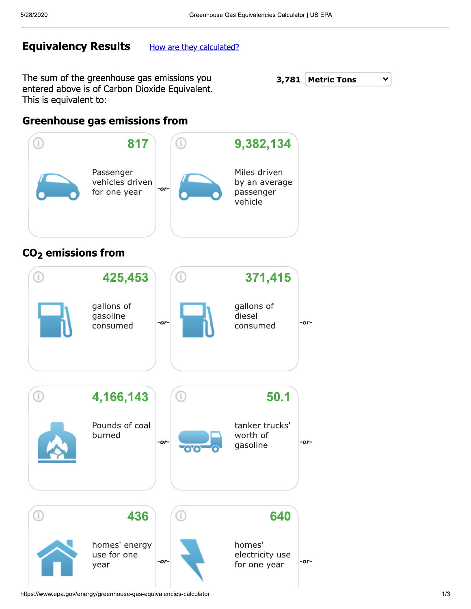# **Equivalency Results**

How are they calculated?

The sum of the greenhouse gas emissions you entered above is of Carbon Dioxide Equivalent. This is equivalent to:



## **Greenhouse gas emissions from**



# $CO<sub>2</sub>$  emissions from

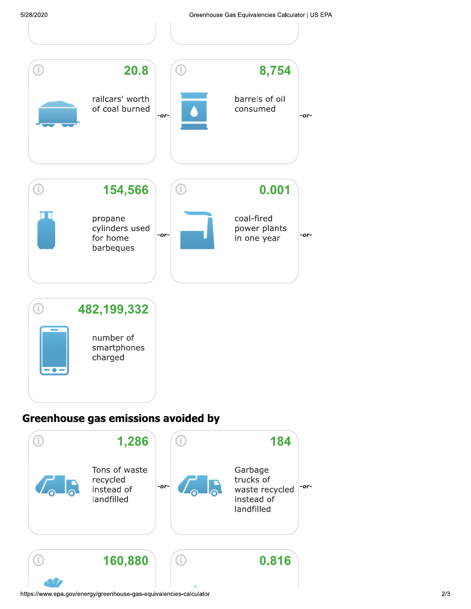

# Greenhouse gas emissions avoided by